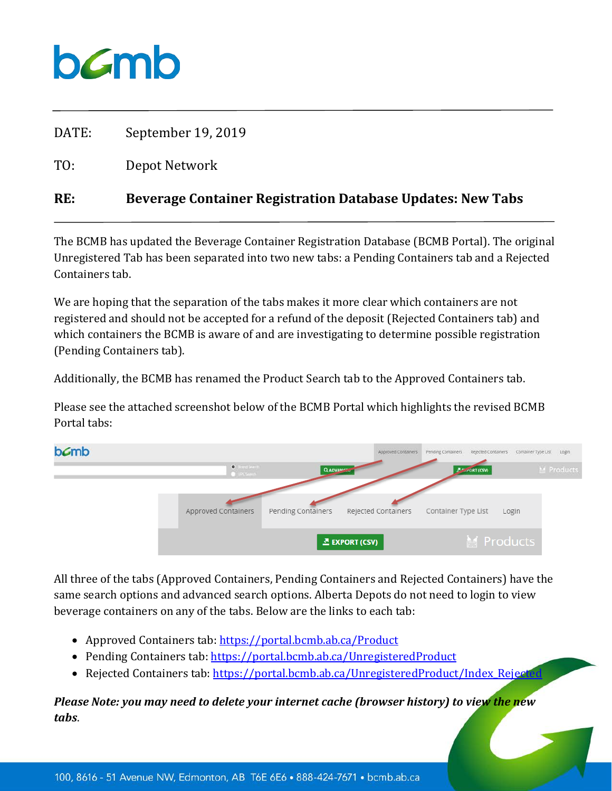## **b***c*mb

| RE:   | <b>Beverage Container Registration Database Updates: New Tabs</b> |
|-------|-------------------------------------------------------------------|
| TO:   | Depot Network                                                     |
| DATE: | September 19, 2019                                                |

The BCMB has updated the Beverage Container Registration Database (BCMB Portal). The original Unregistered Tab has been separated into two new tabs: a Pending Containers tab and a Rejected Containers tab.

We are hoping that the separation of the tabs makes it more clear which containers are not registered and should not be accepted for a refund of the deposit (Rejected Containers tab) and which containers the BCMB is aware of and are investigating to determine possible registration (Pending Containers tab).

Additionally, the BCMB has renamed the Product Search tab to the Approved Containers tab.

Please see the attached screenshot below of the BCMB Portal which highlights the revised BCMB Portal tabs:



All three of the tabs (Approved Containers, Pending Containers and Rejected Containers) have the same search options and advanced search options. Alberta Depots do not need to login to view beverage containers on any of the tabs. Below are the links to each tab:

- Approved Containers tab: <https://portal.bcmb.ab.ca/Product>
- Pending Containers tab: <https://portal.bcmb.ab.ca/UnregisteredProduct>
- Rejected Containers tab: https://portal.bcmb.ab.ca/UnregisteredProduct/Index Rejected

*Please Note: you may need to delete your internet cache (browser history) to view the new tabs*.